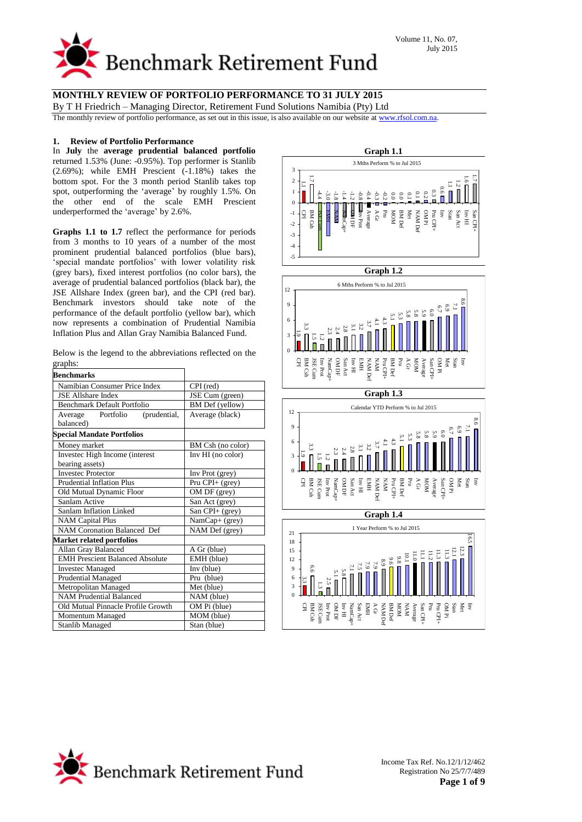

By T H Friedrich – Managing Director, Retirement Fund Solutions Namibia (Pty) Ltd

The monthly review of portfolio performance, as set out in this issue, is also available on our website a[t www.rfsol.com.na.](http://www.rfsol.com.na/)

#### **1. Review of Portfolio Performance**

In **July** the **average prudential balanced portfolio**  returned 1.53% (June: -0.95%). Top performer is Stanlib (2.69%); while EMH Prescient (-1.18%) takes the bottom spot. For the 3 month period Stanlib takes top spot, outperforming the 'average' by roughly 1.5%. On the other end of the scale EMH Prescient underperformed the 'average' by 2.6%.

**Graphs 1.1 to 1.7** reflect the performance for periods from 3 months to 10 years of a number of the most prominent prudential balanced portfolios (blue bars), 'special mandate portfolios' with lower volatility risk (grey bars), fixed interest portfolios (no color bars), the average of prudential balanced portfolios (black bar), the JSE Allshare Index (green bar), and the CPI (red bar). Benchmark investors should take note of the performance of the default portfolio (yellow bar), which now represents a combination of Prudential Namibia Inflation Plus and Allan Gray Namibia Balanced Fund.

|         |  |  | Below is the legend to the abbreviations reflected on the |  |  |
|---------|--|--|-----------------------------------------------------------|--|--|
| graphs: |  |  |                                                           |  |  |

| <b>Benchmarks</b>                      |                   |  |  |
|----------------------------------------|-------------------|--|--|
| Namibian Consumer Price Index          | CPI (red)         |  |  |
| <b>JSE Allshare Index</b>              | JSE Cum (green)   |  |  |
| <b>Benchmark Default Portfolio</b>     | BM Def (yellow)   |  |  |
| Average Portfolio<br>(prudential,      | Average (black)   |  |  |
| balanced)                              |                   |  |  |
| <b>Special Mandate Portfolios</b>      |                   |  |  |
| Money market                           | BM Csh (no color) |  |  |
| Investec High Income (interest         | Inv HI (no color) |  |  |
| bearing assets)                        |                   |  |  |
| <b>Investec Protector</b>              | Inv Prot (grey)   |  |  |
| Prudential Inflation Plus              | Pru CPI+ (grey)   |  |  |
| Old Mutual Dynamic Floor               | OM DF (grey)      |  |  |
| Sanlam Active                          | San Act (grey)    |  |  |
| Sanlam Inflation Linked                | San CPI+ (grey)   |  |  |
| <b>NAM Capital Plus</b>                | NamCap+ (grey)    |  |  |
| <b>NAM Coronation Balanced Def</b>     | NAM Def (grey)    |  |  |
| <b>Market related portfolios</b>       |                   |  |  |
| Allan Gray Balanced                    | A Gr (blue)       |  |  |
| <b>EMH Prescient Balanced Absolute</b> | EMH (blue)        |  |  |
| <b>Investec Managed</b>                | Inv (blue)        |  |  |
| Prudential Managed                     | Pru (blue)        |  |  |
| Metropolitan Managed                   | Met (blue)        |  |  |
| <b>NAM Prudential Balanced</b>         | NAM (blue)        |  |  |
| Old Mutual Pinnacle Profile Growth     | OM Pi (blue)      |  |  |
| Momentum Managed                       | MOM (blue)        |  |  |
| <b>Stanlib Managed</b>                 | Stan (blue)       |  |  |



#### **Graph 1.2**





**Graph 1.4**



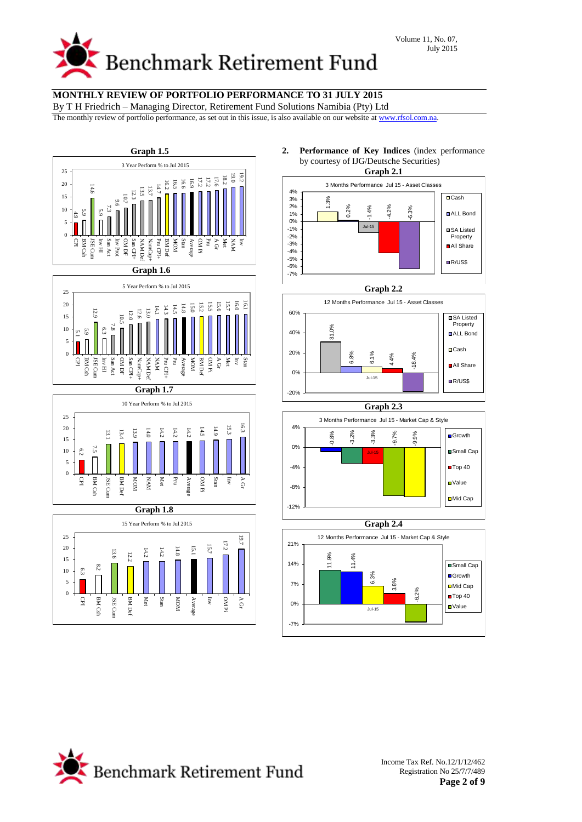

By T H Friedrich – Managing Director, Retirement Fund Solutions Namibia (Pty) Ltd

The monthly review of portfolio performance, as set out in this issue, is also available on our website a[t www.rfsol.com.na.](http://www.rfsol.com.na/)





**Graph 1.7**





**2. Performance of Key Indices** (index performance by courtesy of IJG/Deutsche Securities)









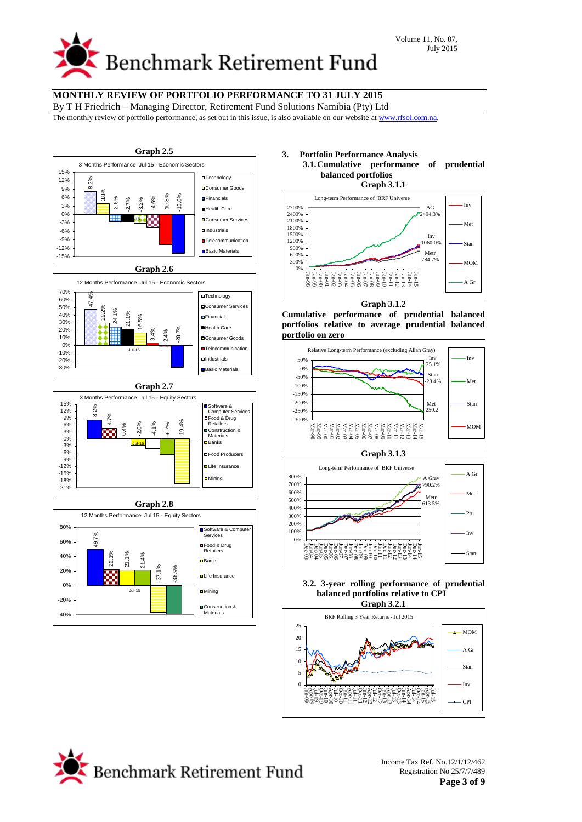# **Benchmark Retirement Fund**

# **MONTHLY REVIEW OF PORTFOLIO PERFORMANCE TO 31 JULY 2015**

By T H Friedrich – Managing Director, Retirement Fund Solutions Namibia (Pty) Ltd

The monthly review of portfolio performance, as set out in this issue, is also available on our website a[t www.rfsol.com.na.](http://www.rfsol.com.na/)



# **3. Portfolio Performance Analysis**

**3.1.Cumulative performance of prudential balanced portfolios Graph 3.1.1**



**Graph 3.1.2**

**Cumulative performance of prudential balanced portfolios relative to average prudential balanced portfolio on zero**





#### **3.2. 3-year rolling performance of prudential balanced portfolios relative to CPI Graph 3.2.1**



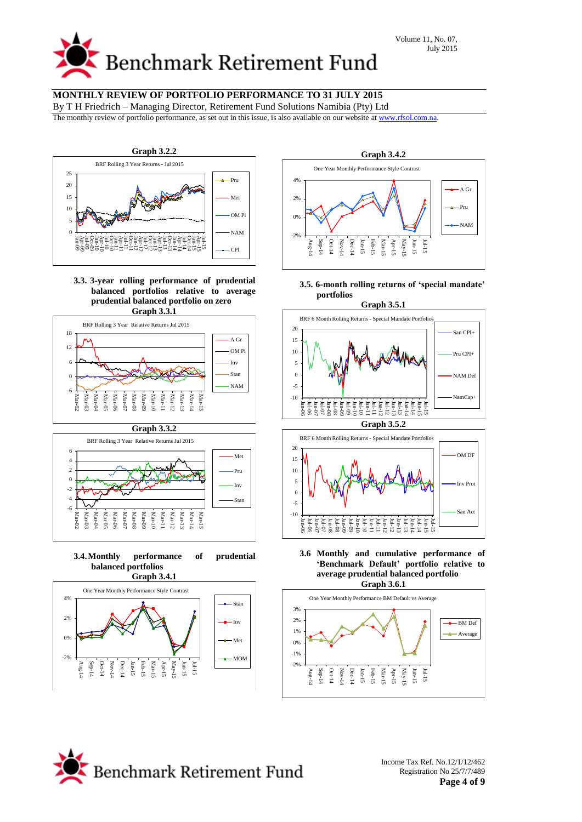By T H Friedrich – Managing Director, Retirement Fund Solutions Namibia (Pty) Ltd

The monthly review of portfolio performance, as set out in this issue, is also available on our website a[t www.rfsol.com.na.](http://www.rfsol.com.na/)



**3.3. 3-year rolling performance of prudential balanced portfolios relative to average prudential balanced portfolio on zero Graph 3.3.1**





**3.4.Monthly performance of prudential balanced portfolios**





**3.5. 6-month rolling returns of 'special mandate' portfolios**





**3.6 Monthly and cumulative performance of 'Benchmark Default' portfolio relative to average prudential balanced portfolio**



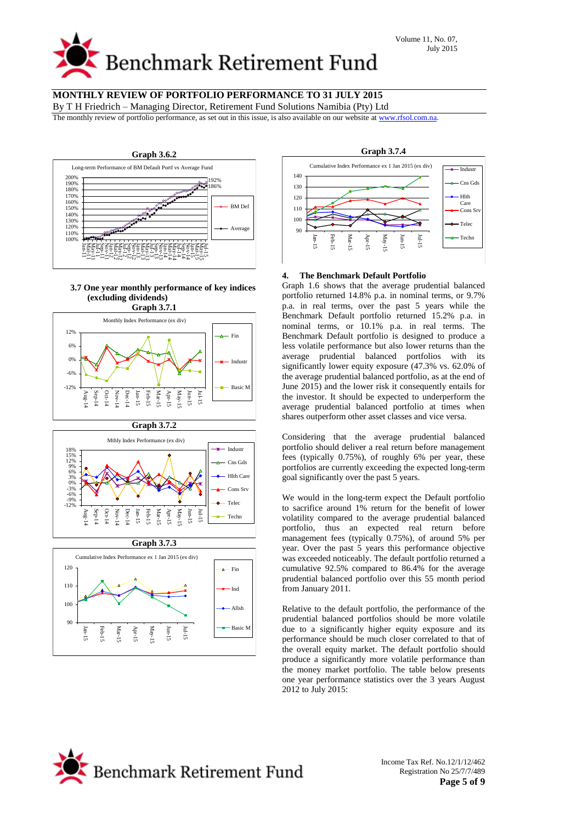By T H Friedrich – Managing Director, Retirement Fund Solutions Namibia (Pty) Ltd

The monthly review of portfolio performance, as set out in this issue, is also available on our website a[t www.rfsol.com.na.](http://www.rfsol.com.na/)



#### **3.7 One year monthly performance of key indices (excluding dividends)**



#### **Graph 3.7.2** -12% -9% -6% 18%<br>15%<br>12%<br>9%<br>6%<br>6%<br>6%<br>0%<br>0%  $\tilde{z}$ Sep-14 Oct-14 Nov-14 Dec-14 Jan-15 Feb-15 Mar-1 Apr-15 May-15 Jun-15 Jul-15 Mthly Index Performance (ex div) Industr Cns Gds Hlth Care Cons Srv Telec Techn



**Graph 3.7.4** Cumulative Index Performance ex 1 Jan 2015 (ex div) Cns Gds Hlth Care Cons Sr

# **4. The Benchmark Default Portfolio**

Jan-15 Feb-15 Mar-15 Apr-15 May-15 Jun-15 Jul-15

Graph 1.6 shows that the average prudential balanced portfolio returned 14.8% p.a. in nominal terms, or 9.7% p.a. in real terms, over the past 5 years while the Benchmark Default portfolio returned 15.2% p.a. in nominal terms, or 10.1% p.a. in real terms. The Benchmark Default portfolio is designed to produce a less volatile performance but also lower returns than the average prudential balanced portfolios with its significantly lower equity exposure (47.3% vs. 62.0% of the average prudential balanced portfolio, as at the end of June 2015) and the lower risk it consequently entails for the investor. It should be expected to underperform the average prudential balanced portfolio at times when shares outperform other asset classes and vice versa.

Considering that the average prudential balanced portfolio should deliver a real return before management fees (typically 0.75%), of roughly 6% per year, these portfolios are currently exceeding the expected long-term goal significantly over the past 5 years.

We would in the long-term expect the Default portfolio to sacrifice around 1% return for the benefit of lower volatility compared to the average prudential balanced portfolio, thus an expected real return before management fees (typically 0.75%), of around 5% per year. Over the past 5 years this performance objective was exceeded noticeably. The default portfolio returned a cumulative 92.5% compared to 86.4% for the average prudential balanced portfolio over this 55 month period from January 2011.

Relative to the default portfolio, the performance of the prudential balanced portfolios should be more volatile due to a significantly higher equity exposure and its performance should be much closer correlated to that of the overall equity market. The default portfolio should produce a significantly more volatile performance than the money market portfolio. The table below presents one year performance statistics over the 3 years August 2012 to July 2015:



Telec Techn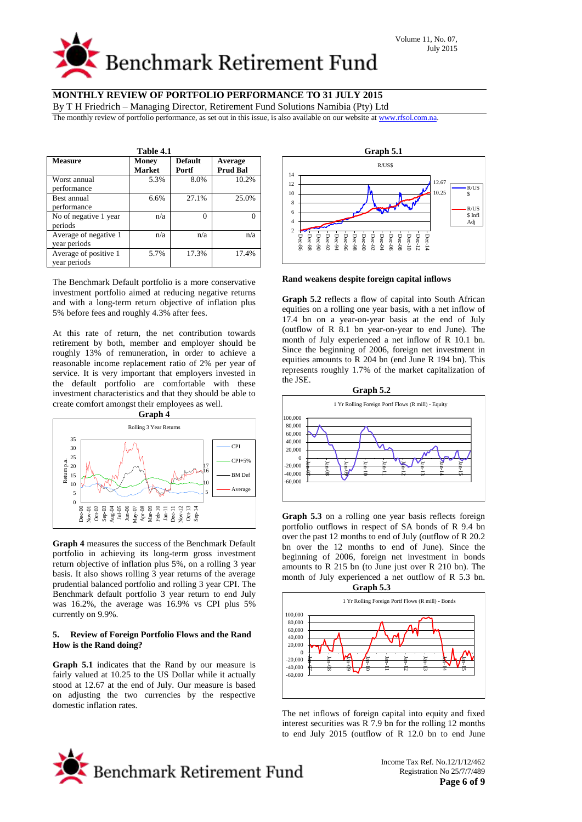# **Benchmark Retirement Fund**

# **MONTHLY REVIEW OF PORTFOLIO PERFORMANCE TO 31 JULY 2015**

By T H Friedrich – Managing Director, Retirement Fund Solutions Namibia (Pty) Ltd

The monthly review of portfolio performance, as set out in this issue, is also available on our website a[t www.rfsol.com.na.](http://www.rfsol.com.na/)

| Table 4.1                             |                        |                         |                            |  |  |  |  |  |  |
|---------------------------------------|------------------------|-------------------------|----------------------------|--|--|--|--|--|--|
| <b>Measure</b>                        | Money<br><b>Market</b> | <b>Default</b><br>Portf | Average<br><b>Prud Bal</b> |  |  |  |  |  |  |
| Worst annual<br>performance           | 5.3%                   | 8.0%                    | 10.2%                      |  |  |  |  |  |  |
| Best annual<br>performance            | 6.6%                   | 27.1%                   | 25.0%                      |  |  |  |  |  |  |
| No of negative 1 year<br>periods      | n/a                    | 0                       |                            |  |  |  |  |  |  |
| Average of negative 1<br>year periods | n/a                    | n/a                     | n/a                        |  |  |  |  |  |  |
| Average of positive 1<br>vear periods | 5.7%                   | 17.3%                   | 17.4%                      |  |  |  |  |  |  |

The Benchmark Default portfolio is a more conservative investment portfolio aimed at reducing negative returns and with a long-term return objective of inflation plus 5% before fees and roughly 4.3% after fees.

At this rate of return, the net contribution towards retirement by both, member and employer should be roughly 13% of remuneration, in order to achieve a reasonable income replacement ratio of 2% per year of service. It is very important that employers invested in the default portfolio are comfortable with these investment characteristics and that they should be able to create comfort amongst their employees as well.



**Graph 4** measures the success of the Benchmark Default portfolio in achieving its long-term gross investment return objective of inflation plus 5%, on a rolling 3 year basis. It also shows rolling 3 year returns of the average prudential balanced portfolio and rolling 3 year CPI. The Benchmark default portfolio 3 year return to end July was 16.2%, the average was 16.9% vs CPI plus 5% currently on 9.9%.

#### **5. Review of Foreign Portfolio Flows and the Rand How is the Rand doing?**

**Graph 5.1** indicates that the Rand by our measure is fairly valued at 10.25 to the US Dollar while it actually stood at 12.67 at the end of July. Our measure is based on adjusting the two currencies by the respective domestic inflation rates.



**Rand weakens despite foreign capital inflows**

**Graph 5.2** reflects a flow of capital into South African equities on a rolling one year basis, with a net inflow of 17.4 bn on a year-on-year basis at the end of July (outflow of R 8.1 bn year-on-year to end June). The month of July experienced a net inflow of R 10.1 bn. Since the beginning of 2006, foreign net investment in equities amounts to R 204 bn (end June R 194 bn). This represents roughly 1.7% of the market capitalization of the JSE.



**Graph 5.3** on a rolling one year basis reflects foreign portfolio outflows in respect of SA bonds of R 9.4 bn over the past 12 months to end of July (outflow of R 20.2 bn over the 12 months to end of June). Since the beginning of 2006, foreign net investment in bonds amounts to R 215 bn (to June just over R 210 bn). The month of July experienced a net outflow of R 5.3 bn.



The net inflows of foreign capital into equity and fixed interest securities was R 7.9 bn for the rolling 12 months to end July 2015 (outflow of R 12.0 bn to end June

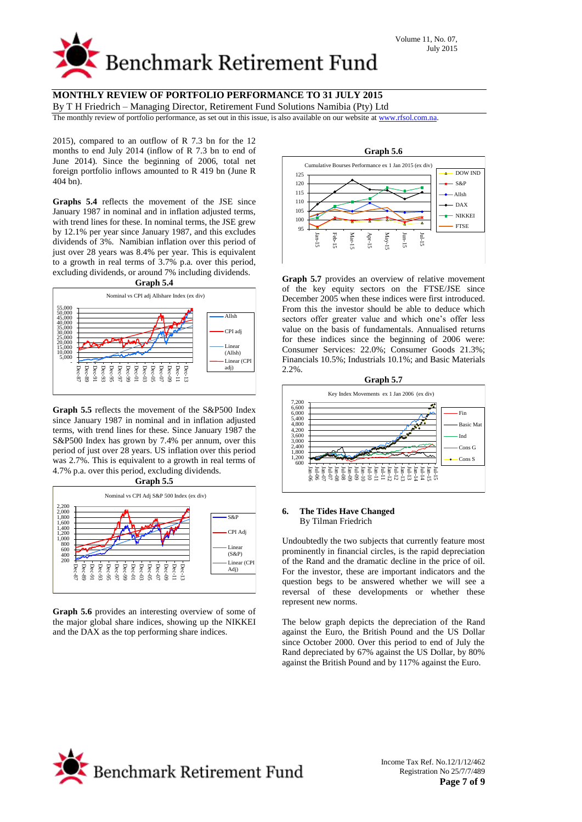

By T H Friedrich – Managing Director, Retirement Fund Solutions Namibia (Pty) Ltd

The monthly review of portfolio performance, as set out in this issue, is also available on our website a[t www.rfsol.com.na.](http://www.rfsol.com.na/)

2015), compared to an outflow of R 7.3 bn for the 12 months to end July 2014 (inflow of R 7.3 bn to end of June 2014). Since the beginning of 2006, total net foreign portfolio inflows amounted to R 419 bn (June R 404 bn).

**Graphs 5.4** reflects the movement of the JSE since January 1987 in nominal and in inflation adjusted terms, with trend lines for these. In nominal terms, the JSE grew by 12.1% per year since January 1987, and this excludes dividends of 3%. Namibian inflation over this period of just over 28 years was 8.4% per year. This is equivalent to a growth in real terms of 3.7% p.a. over this period, excluding dividends, or around 7% including dividends. **Graph 5.4**



 - 5,000 10,000 15,000 20,000 25,000 30,000 35,000 40,000 45,000 50,000 55,000

Dec-87

Dec-89 Dec-91 Dec-93 Dec-95 Dec-97 Dec-99 Dec-01 Dec-03 Dec-05 Dec-07 Dec-09 Dec-11 Dec-13 Allsh CPI adj Linear (Allsh) Linear (CP) adj)

**Graph 5.5** reflects the movement of the S&P500 Index since January 1987 in nominal and in inflation adjusted terms, with trend lines for these. Since January 1987 the S&P500 Index has grown by 7.4% per annum, over this period of just over 28 years. US inflation over this period was 2.7%. This is equivalent to a growth in real terms of 4.7% p.a. over this period, excluding dividends.



**Graph 5.6** provides an interesting overview of some of the major global share indices, showing up the NIKKEI and the DAX as the top performing share indices.



**Graph 5.7** provides an overview of relative movement of the key equity sectors on the FTSE/JSE since December 2005 when these indices were first introduced. From this the investor should be able to deduce which sectors offer greater value and which one's offer less value on the basis of fundamentals. Annualised returns for these indices since the beginning of 2006 were: Consumer Services: 22.0%; Consumer Goods 21.3%; Financials 10.5%; Industrials 10.1%; and Basic Materials 2.2%.



#### **6. The Tides Have Changed** By Tilman Friedrich

Undoubtedly the two subjects that currently feature most prominently in financial circles, is the rapid depreciation of the Rand and the dramatic decline in the price of oil. For the investor, these are important indicators and the question begs to be answered whether we will see a reversal of these developments or whether these represent new norms.

The below graph depicts the depreciation of the Rand against the Euro, the British Pound and the US Dollar since October 2000. Over this period to end of July the Rand depreciated by 67% against the US Dollar, by 80% against the British Pound and by 117% against the Euro.

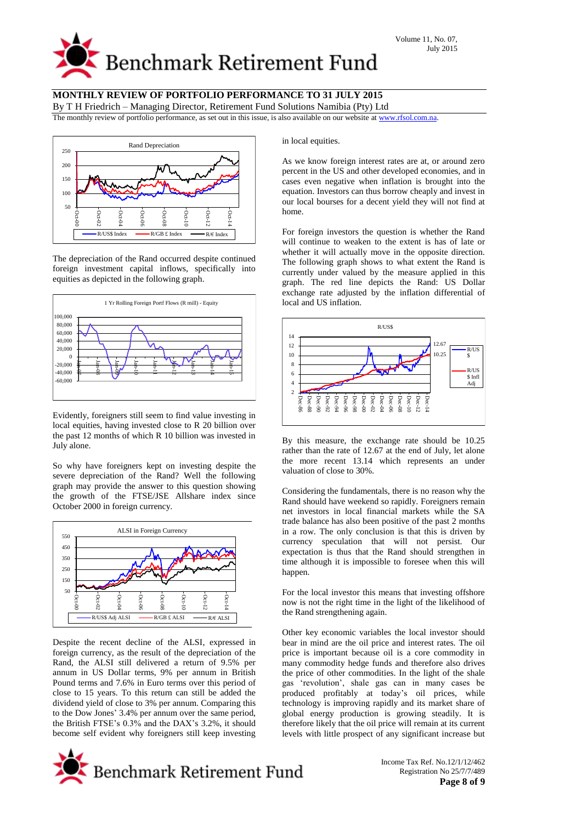

By T H Friedrich – Managing Director, Retirement Fund Solutions Namibia (Pty) Ltd

The monthly review of portfolio performance, as set out in this issue, is also available on our website a[t www.rfsol.com.na.](http://www.rfsol.com.na/)



The depreciation of the Rand occurred despite continued foreign investment capital inflows, specifically into equities as depicted in the following graph.



Evidently, foreigners still seem to find value investing in local equities, having invested close to R 20 billion over the past 12 months of which R 10 billion was invested in July alone.

So why have foreigners kept on investing despite the severe depreciation of the Rand? Well the following graph may provide the answer to this question showing the growth of the FTSE/JSE Allshare index since October 2000 in foreign currency.



Despite the recent decline of the ALSI, expressed in foreign currency, as the result of the depreciation of the Rand, the ALSI still delivered a return of 9.5% per annum in US Dollar terms, 9% per annum in British Pound terms and 7.6% in Euro terms over this period of close to 15 years. To this return can still be added the dividend yield of close to 3% per annum. Comparing this to the Dow Jones' 3.4% per annum over the same period, the British FTSE's 0.3% and the DAX's 3.2%, it should become self evident why foreigners still keep investing in local equities.

As we know foreign interest rates are at, or around zero percent in the US and other developed economies, and in cases even negative when inflation is brought into the equation. Investors can thus borrow cheaply and invest in our local bourses for a decent yield they will not find at home.

For foreign investors the question is whether the Rand will continue to weaken to the extent is has of late or whether it will actually move in the opposite direction. The following graph shows to what extent the Rand is currently under valued by the measure applied in this graph. The red line depicts the Rand: US Dollar exchange rate adjusted by the inflation differential of local and US inflation.



By this measure, the exchange rate should be 10.25 rather than the rate of 12.67 at the end of July, let alone the more recent 13.14 which represents an under valuation of close to 30%.

Considering the fundamentals, there is no reason why the Rand should have weekend so rapidly. Foreigners remain net investors in local financial markets while the SA trade balance has also been positive of the past 2 months in a row. The only conclusion is that this is driven by currency speculation that will not persist. Our expectation is thus that the Rand should strengthen in time although it is impossible to foresee when this will happen.

For the local investor this means that investing offshore now is not the right time in the light of the likelihood of the Rand strengthening again.

Other key economic variables the local investor should bear in mind are the oil price and interest rates. The oil price is important because oil is a core commodity in many commodity hedge funds and therefore also drives the price of other commodities. In the light of the shale gas 'revolution', shale gas can in many cases be produced profitably at today's oil prices, while technology is improving rapidly and its market share of global energy production is growing steadily. It is therefore likely that the oil price will remain at its current levels with little prospect of any significant increase but